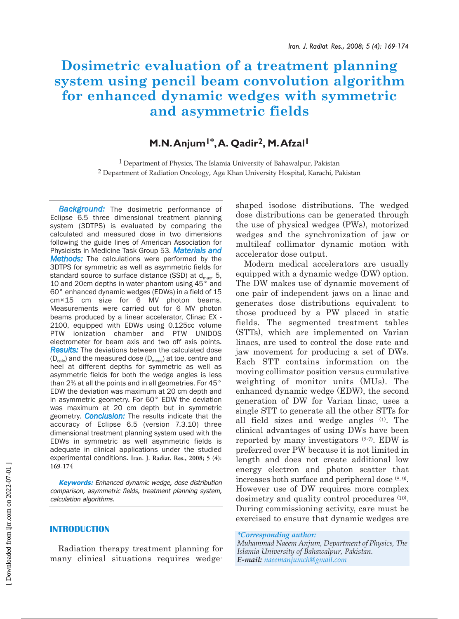# **Dosimetric evaluation of a treatment planning system using pencil beam convolution algorithm for enhanced dynamic wedges with symmetric and asymmetric fields**

## **M.N.Anjum1\*,A. Qadir2, M.Afzal1**

<sup>1</sup> Department of Physics, The Islamia University of Bahawalpur, Pakistan 2 Department of Radiation Oncology, Aga Khan University Hospital, Karachi, Pakistan

*Background:* The dosimetric performance of Eclipse 6.5 three dimensional treatment planning system (3DTPS) is evaluated by comparing the calculated and measured dose in two dimensions following the guide lines of American Association for Physicists in Medicine Task Group 53. *Materials and Methods:* The calculations were performed by the 3DTPS for symmetric as well as asymmetric fields for standard source to surface distance (SSD) at  $d_{max}$ , 5, 10 and 20cm depths in water phantom using 45° and 60° enhanced dynamic wedges (EDWs) in a field of 15 cm×15 cm size for 6 MV photon beams. Measurements were carried out for 6 MV photon beams produced by a linear accelerator, Clinac EX - 2100, equipped with EDWs using 0.125cc volume PTW ionization chamber and PTW UNIDOS electrometer for beam axis and two off axis points. *Results:* The deviations between the calculated dose  $(D_{\text{calc}})$  and the measured dose  $(D_{\text{meas}})$  at toe, centre and heel at different depths for symmetric as well as asymmetric fields for both the wedge angles is less than 2% at all the points and in all geometries. For 45° EDW the deviation was maximum at 20 cm depth and in asymmetric geometry. For 60° EDW the deviation was maximum at 20 cm depth but in symmetric geometry. *Conclusion:* The results indicate that the accuracy of Eclipse 6.5 (version 7.3.10) three dimensional treatment planning system used with the EDWs in symmetric as well asymmetric fields is adequate in clinical applications under the studied experimental conditions. **Iran. J. Radiat. Res., 2008; 5 (4): 169-174**

**Keywords:** Enhanced dynamic wedge, dose distribution comparison, asymmetric fields, treatment planning system, calculation algorithms.

### **INTRODUCTION**

Radiation therapy treatment planning for many clinical situations requires wedgeshaped isodose distributions. The wedged dose distributions can be generated through the use of physical wedges (PWs), motorized wedges and the synchronization of jaw or multileaf collimator dynamic motion with accelerator dose output.

Modern medical accelerators are usually equipped with a dynamic wedge (DW) option. The DW makes use of dynamic movement of one pair of independent jaws on a linac and generates dose distributions equivalent to those produced by a PW placed in static fields. The segmented treatment tables (STTs), which are implemented on Varian linacs, are used to control the dose rate and jaw movement for producing a set of DWs. Each STT contains information on the moving collimator position versus cumulative weighting of monitor units (MUs). The enhanced dynamic wedge (EDW), the second generation of DW for Varian linac, uses a single STT to generate all the other STTs for all field sizes and wedge angles (1). The clinical advantages of using DWs have been reported by many investigators (2-7). EDW is preferred over PW because it is not limited in length and does not create additional low energy electron and photon scatter that increases both surface and peripheral dose (8, 9). However use of DW requires more complex dosimetry and quality control procedures (10). During commissioning activity, care must be exercised to ensure that dynamic wedges are

*\*Corresponding author:*

*Muhammad Naeem Anjum, Department of Physics, The Islamia University of Bahawalpur, Pakistan. E-mail: naeemanjumch@gmail.com*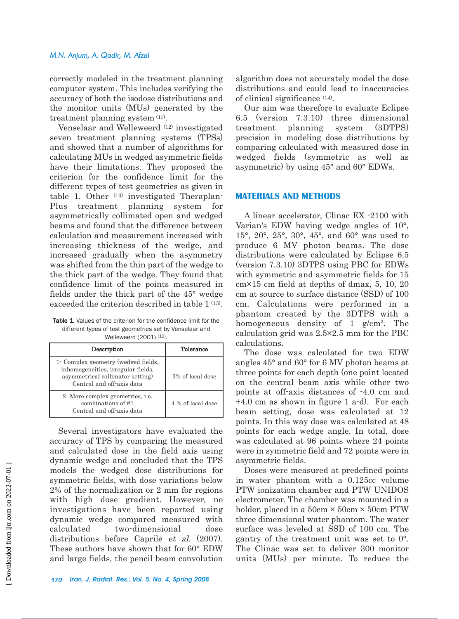### *M.N. Anjum, A. Qadir, M. Afzal*

correctly modeled in the treatment planning computer system. This includes verifying the accuracy of both the isodose distributions and the monitor units (MUs) generated by the treatment planning system (11).

Venselaar and Welleweerd (12) investigated seven treatment planning systems (TPSs) and showed that a number of algorithms for calculating MUs in wedged asymmetric fields have their limitations. They proposed the criterion for the confidence limit for the different types of test geometries as given in table 1. Other (13) investigated Theraplan-Plus treatment planning system for asymmetrically collimated open and wedged beams and found that the difference between calculation and measurement increased with increasing thickness of the wedge, and increased gradually when the asymmetry was shifted from the thin part of the wedge to the thick part of the wedge. They found that confidence limit of the points measured in fields under the thick part of the 45° wedge exceeded the criterion described in table 1<sup>(13)</sup>.

Table 1. Values of the criterion for the confidence limit for the different types of test geometries set by Venselaar and Welleweerd (2001) (12).

| Description                                                                                                                                | Tolerance         |  |
|--------------------------------------------------------------------------------------------------------------------------------------------|-------------------|--|
| 1- Complex geometry (wedged fields,<br>inhomogeneities, irregular fields,<br>asymmetrical collimator setting)<br>Central and off-axis data | 3% of local dose  |  |
| 2 More complex geometries, <i>i.e.</i><br>combinations of #1<br>Central and off-axis data                                                  | 4 % of local dose |  |

Several investigators have evaluated the accuracy of TPS by comparing the measured and calculated dose in the field axis using dynamic wedge and concluded that the TPS models the wedged dose distributions for symmetric fields, with dose variations below 2% of the normalization or 2 mm for regions with high dose gradient. However, no investigations have been reported using dynamic wedge compared measured with calculated two-dimensional dose distributions before Caprile et al. (2007). These authors have shown that for 60° EDW and large fields, the pencil beam convolution

algorithm does not accurately model the dose distributions and could lead to inaccuracies of clinical significance (14).

Our aim was therefore to evaluate Eclipse 6.5 (version 7.3.10) three dimensional treatment planning system (3DTPS) precision in modeling dose distributions by comparing calculated with measured dose in wedged fields (symmetric as well as asymmetric) by using 45° and 60° EDWs.

### **MATERIALS AND METHODS**

A linear accelerator, Clinac EX -2100 with Varian's EDW having wedge angles of 10°, 15°, 20°, 25°, 30°, 45°, and 60° was used to produce 6 MV photon beams. The dose distributions were calculated by Eclipse 6.5 (version 7.3.10) 3DTPS using PBC for EDWs with symmetric and asymmetric fields for 15 cm×15 cm field at depths of dmax, 5, 10, 20 cm at source to surface distance (SSD) of 100 cm. Calculations were performed in a phantom created by the 3DTPS with a homogeneous density of 1 g/cm<sup>3</sup>. The calculation grid was 2.5×2.5 mm for the PBC calculations.

The dose was calculated for two EDW angles 45° and 60° for 6 MV photon beams at three points for each depth (one point located on the central beam axis while other two points at off-axis distances of -4.0 cm and +4.0 cm as shown in figure 1 a-d). For each beam setting, dose was calculated at 12 points. In this way dose was calculated at 48 points for each wedge angle. In total, dose was calculated at 96 points where 24 points were in symmetric field and 72 points were in asymmetric fields.

Doses were measured at predefined points in water phantom with a 0.125cc volume PTW ionization chamber and PTW UNIDOS electrometer. The chamber was mounted in a holder, placed in a  $50 \text{cm} \times 50 \text{cm} \times 50 \text{cm}$  PTW three dimensional water phantom. The water surface was leveled at SSD of 100 cm. The gantry of the treatment unit was set to 0°. The Clinac was set to deliver 300 monitor units (MUs) per minute. To reduce the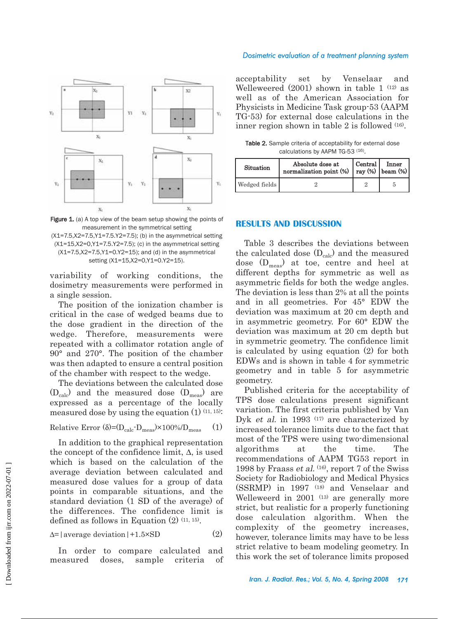

Figure 1. (a) A top view of the beam setup showing the points of measurement in the symmetrical setting (X1=7.5,X2=7.5,Y1=7.5.Y2=7.5); (b) in the asymmetrical setting  $(X1=15,X2=0,Y1=7.5,Y2=7.5)$ ; (c) in the asymmetrical setting  $(X1=7.5, X2=7.5, Y1=0. Y2=15)$ ; and (d) in the asymmetrical setting (X1=15,X2=0,Y1=0.Y2=15).

variability of working conditions, the dosimetry measurements were performed in a single session.

The position of the ionization chamber is critical in the case of wedged beams due to the dose gradient in the direction of the wedge. Therefore, measurements were repeated with a collimator rotation angle of 90° and 270°. The position of the chamber was then adapted to ensure a central position of the chamber with respect to the wedge.

The deviations between the calculated dose  $(D_{calc})$  and the measured dose  $(D_{meas})$  are expressed as a percentage of the locally measured dose by using the equation  $(1)$   $(11, 15)$ :

Relative Error  $(\delta) = (D_{calc} - D_{meas}) \times 100\% / D_{meas}$  (1)

In addition to the graphical representation the concept of the confidence limit,  $\Delta$ , is used which is based on the calculation of the average deviation between calculated and measured dose values for a group of data points in comparable situations, and the standard deviation (1 SD of the average) of the differences. The confidence limit is defined as follows in Equation  $(2)$   $(11, 15)$ .

$$
\Delta = |\text{average deviation}| + 1.5 \times SD \tag{2}
$$

In order to compare calculated and measured doses, sample criteria of

#### *Dosimetric evaluation of a treatment planning system*

acceptability set by Venselaar and Welleweered  $(2001)$  shown in table 1  $(12)$  as well as of the American Association for Physicists in Medicine Task group-53 (AAPM TG-53) for external dose calculations in the inner region shown in table 2 is followed (16).

Table 2. Sample criteria of acceptability for external dose calculations by AAPM TG-53 (16).

| Situation     | Absolute dose at<br>normalization point (%) | Central | Inner<br>ray $%$ beam $%$ |
|---------------|---------------------------------------------|---------|---------------------------|
| Wedged fields |                                             |         |                           |

### **RESULTS AND DISCUSSION**

Table 3 describes the deviations between the calculated dose  $(D_{calc})$  and the measured dose  $(D_{\text{meas}})$  at toe, centre and heel at different depths for symmetric as well as asymmetric fields for both the wedge angles. The deviation is less than 2% at all the points and in all geometries. For 45° EDW the deviation was maximum at 20 cm depth and in asymmetric geometry. For 60° EDW the deviation was maximum at 20 cm depth but in symmetric geometry. The confidence limit is calculated by using equation (2) for both EDWs and is shown in table 4 for symmetric geometry and in table 5 for asymmetric geometry.

Published criteria for the acceptability of TPS dose calculations present significant variation. The first criteria published by Van Dyk et al. in 1993  $(17)$  are characterized by increased tolerance limits due to the fact that most of the TPS were using two-dimensional algorithms at the time. The recommendations of AAPM TG53 report in 1998 by Fraass et al.  $(16)$ , report 7 of the Swiss Society for Radiobiology and Medical Physics (SSRMP) in 1997 (18) and Venselaar and Welleweerd in 2001 (13) are generally more strict, but realistic for a properly functioning dose calculation algorithm. When the complexity of the geometry increases, however, tolerance limits may have to be less strict relative to beam modeling geometry. In this work the set of tolerance limits proposed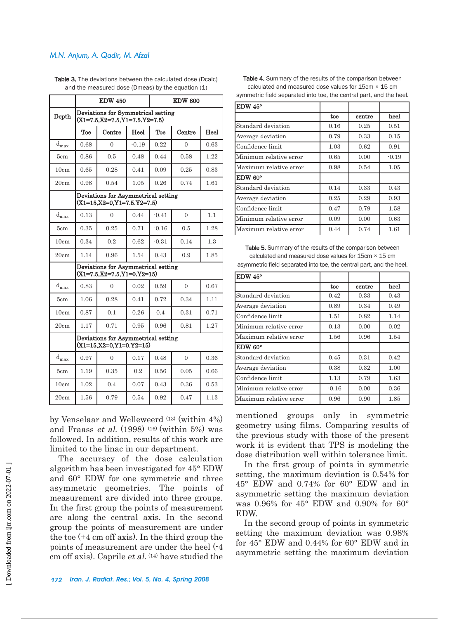### *M.N. Anjum, A. Qadir, M. Afzal*

|                  | <b>EDW 450</b>                                                           |          | <b>EDW 600</b> |         |          |      |
|------------------|--------------------------------------------------------------------------|----------|----------------|---------|----------|------|
| Depth            | Deviations for Symmetrical setting<br>$(X1=7.5, X2=7.5, Y1=7.5, Y2=7.5)$ |          |                |         |          |      |
|                  | Toe                                                                      | Centre   | Heel           | Toe     | Centre   | Heel |
| $d_{\max}$       | 0.68                                                                     | $\Omega$ | $-0.19$        | 0.22    | $\Omega$ | 0.63 |
| 5cm              | 0.86                                                                     | 0.5      | 0.48           | 0.44    | 0.58     | 1.22 |
| 10cm             | 0.65                                                                     | 0.28     | 0.41           | 0.09    | 0.25     | 0.83 |
| 20cm             | 0.98                                                                     | 0.54     | 1.05           | 0.26    | 0.74     | 1.61 |
|                  | Deviations for Asymmetrical setting<br>$(X1=15, X2=0, Y1=7.5, Y2=7.5)$   |          |                |         |          |      |
| $d_{max}$        | 0.13                                                                     | $\theta$ | 0.44           | $-0.41$ | $\Omega$ | 1.1  |
| 5cm              | 0.35                                                                     | 0.25     | 0.71           | $-0.16$ | 0.5      | 1.28 |
| 10cm             | 0.34                                                                     | 0.2      | 0.62           | $-0.31$ | 0.14     | 1.3  |
| 20cm             | 1.14                                                                     | 0.96     | 1.54           | 0.43    | 0.9      | 1.85 |
|                  | Deviations for Asymmetrical setting<br>$(X1=7.5, X2=7.5, Y1=0. Y2=15)$   |          |                |         |          |      |
| $d_{max}$        | 0.83                                                                     | $\theta$ | 0.02           | 0.59    | $\Omega$ | 0.67 |
| 5cm.             | 1.06                                                                     | 0.28     | 0.41           | 0.72    | 0.34     | 1.11 |
| 10cm             | 0.87                                                                     | 0.1      | 0.26           | 0.4     | 0.31     | 0.71 |
| 20cm             | 1.17                                                                     | 0.71     | 0.95           | 0.96    | 0.81     | 1.27 |
|                  | Deviations for Asymmetrical setting<br>$(X1=15, X2=0, Y1=0. Y2=15)$      |          |                |         |          |      |
| $d_{\text{max}}$ | 0.97                                                                     | $\theta$ | 0.17           | 0.48    | $\Omega$ | 0.36 |
| 5cm              | 1.19                                                                     | 0.35     | 0.2            | 0.56    | 0.05     | 0.66 |
| 10cm             | 1.02                                                                     | 0.4      | 0.07           | 0.43    | 0.36     | 0.53 |
| 20cm             | 1.56                                                                     | 0.79     | 0.54           | 0.92    | 0.47     | 1.13 |

Table 3. The deviations between the calculated dose (Dcalc) and the measured dose (Dmeas) by the equation (1)

by Venselaar and Welleweerd (13) (within 4%) and Fraass *et al.* (1998) (16) (within 5%) was followed. In addition, results of this work are limited to the linac in our department.

The accuracy of the dose calculation algorithm has been investigated for 45° EDW and 60° EDW for one symmetric and three asymmetric geometries. The points of measurement are divided into three groups. In the first group the points of measurement are along the central axis. In the second group the points of measurement are under the toe (+4 cm off axis). In the third group the points of measurement are under the heel (-4 cm off axis). Caprile *et al.*  $(14)$  have studied the

### Table 4. Summary of the results of the comparison between calculated and measured dose values for 15cm × 15 cm symmetric field separated into toe, the central part, and the heel.

| EDW 45°                |      |        |         |
|------------------------|------|--------|---------|
|                        | toe  | centre | heel    |
| Standard deviation     | 0.16 | 0.25   | 0.51    |
| Average deviation      | 0.79 | 0.33   | 0.15    |
| Confidence limit       | 1.03 | 0.62   | 0.91    |
| Minimum relative error | 0.65 | 0.00   | $-0.19$ |
| Maximum relative error | 0.98 | 0.54   | 1.05    |
| EDW 60°                |      |        |         |
| Standard deviation     | 0.14 | 0.33   | 0.43    |
| Average deviation      | 0.25 | 0.29   | 0.93    |
| Confidence limit       | 0.47 | 0.79   | 1.58    |
| Minimum relative error | 0.09 | 0.00   | 0.63    |
| Maximum relative error | 0.44 | 0.74   | 1.61    |

Table 5. Summary of the results of the comparison between calculated and measured dose values for 15cm × 15 cm asymmetric field separated into toe, the central part, and the heel.

| EDW 45°                |         |        |      |
|------------------------|---------|--------|------|
|                        | toe     | centre | heel |
| Standard deviation     | 0.42    | 0.33   | 0.43 |
| Average deviation      | 0.89    | 0.34   | 0.49 |
| Confidence limit       | 1.51    | 0.82   | 1.14 |
| Minimum relative error | 0.13    | 0.00   | 0.02 |
| Maximum relative error | 1.56    | 0.96   | 1.54 |
| EDW 60°                |         |        |      |
| Standard deviation     | 0.45    | 0.31   | 0.42 |
| Average deviation      | 0.38    | 0.32   | 1.00 |
| Confidence limit       | 1.13    | 0.79   | 1.63 |
| Minimum relative error | $-0.16$ | 0.00   | 0.36 |
| Maximum relative error | 0.96    | 0.90   | 1.85 |

mentioned groups only in symmetric geometry using films. Comparing results of the previous study with those of the present work it is evident that TPS is modeling the dose distribution well within tolerance limit.

In the first group of points in symmetric setting, the maximum deviation is 0.54% for 45° EDW and 0.74% for 60° EDW and in asymmetric setting the maximum deviation was 0.96% for 45° EDW and 0.90% for 60° EDW.

In the second group of points in symmetric setting the maximum deviation was 0.98% for 45° EDW and 0.44% for 60° EDW and in asymmetric setting the maximum deviation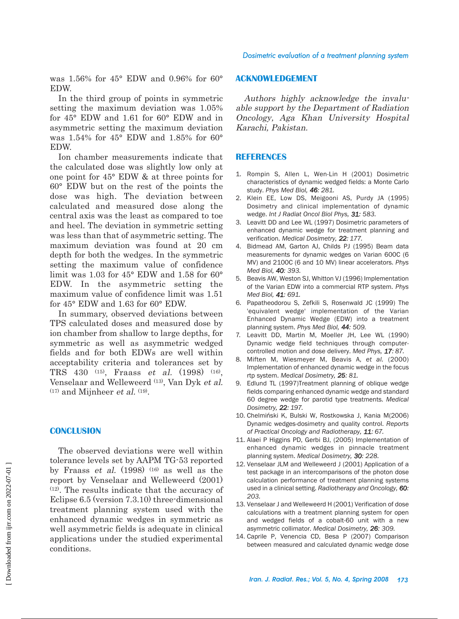was 1.56% for 45° EDW and 0.96% for 60° **EDW** 

In the third group of points in symmetric setting the maximum deviation was 1.05% for 45° EDW and 1.61 for 60° EDW and in asymmetric setting the maximum deviation was 1.54% for 45° EDW and 1.85% for 60° **EDW** 

Ion chamber measurements indicate that the calculated dose was slightly low only at one point for 45° EDW & at three points for 60° EDW but on the rest of the points the dose was high. The deviation between calculated and measured dose along the central axis was the least as compared to toe and heel. The deviation in symmetric setting was less than that of asymmetric setting. The maximum deviation was found at 20 cm depth for both the wedges. In the symmetric setting the maximum value of confidence limit was 1.03 for 45° EDW and 1.58 for 60° EDW. In the asymmetric setting the maximum value of confidence limit was 1.51 for 45° EDW and 1.63 for 60° EDW.

In summary, observed deviations between TPS calculated doses and measured dose by ion chamber from shallow to large depths, for symmetric as well as asymmetric wedged fields and for both EDWs are well within acceptability criteria and tolerances set by TRS 430 (15), Fraass et al. (1998) (16), Venselaar and Welleweerd (13), Van Dyk et al.  $(17)$  and Mijnheer *et al.*  $(19)$ .

### **CONCLUSION**

The observed deviations were well within tolerance levels set by AAPM TG-53 reported by Fraass *et al.* (1998) (16) as well as the report by Venselaar and Welleweerd (2001) (12). The results indicate that the accuracy of Eclipse 6.5 (version 7.3.10) three-dimensional treatment planning system used with the enhanced dynamic wedges in symmetric as well asymmetric fields is adequate in clinical applications under the studied experimental conditions.

### **ACKNOWLEDGEMENT**

Authors highly acknowledge the invaluable support by the Department of Radiation Oncology, Aga Khan University Hospital Karachi, Pakistan.

### **REFERENCES**

- 1. Rompin S, Allen L, Wen-Lin H (2001) Dosimetric characteristics of dynamic wedged fields: a Monte Carlo study. *Phys Med Biol, 46: 281.*
- 2. Klein EE, Low DS, Meigooni AS, Purdy JA (1995) Dosimetry and clinical implementation of dynamic wedge. *Int J Radiat Oncol Biol Phys, 31: 583.*
- 3. Leavitt DD and Lee WL (1997) Dosimetric parameters of enhanced dynamic wedge for treatment planning and verification. *Medical Dosimetry, 22: 177.*
- 4. Bidmead AM, Garton AJ, Childs PJ (1995) Beam data measurements for dynamic wedges on Varian 600C (6 MV) and 2100C (6 and 10 MV) linear accelerators. *Phys Med Biol, 40: 393.*
- 5. Beavis AW, Weston SJ, Whitton VJ (1996) Implementation of the Varian EDW into a commercial RTP system. *Phys Med Biol, 41: 691.*
- 6. Papatheodorou S, Zefkili S, Rosenwald JC (1999) The 'equivalent wedge' implementation of the Varian Enhanced Dynamic Wedge (EDW) into a treatment planning system. *Phys Med Biol, 44: 509.*
- 7. Leavitt DD, Martin M, Moeller JH, Lee WL (1990) Dynamic wedge field techniques through computercontrolled motion and dose delivery. *Med Phys, 17: 87.*
- 8. Miften M, Wiesmeyer M, Beavis A, *et al.* (2000) Implementation of enhanced dynamic wedge in the focus rtp system. *Medical Dosimetry, 25: 81.*
- 9. Edlund TL (1997)Treatment planning of oblique wedge fields comparing enhanced dynamic wedge and standard 60 degree wedge for parotid type treatments. *Medical Dosimetry, 22: 197.*
- 10. Chelmiński K, Bulski W, Rostkowska J, Kania M(2006) Dynamic wedges-dosimetry and quality control. *Reports of Practical Oncology and Radiotherapy, 11: 67.*
- 11. Alaei P Higgins PD, Gerbi BJ, (2005) Implementation of enhanced dynamic wedges in pinnacle treatment planning system. *Medical Dosimetry, 30: 228.*
- 12. Venselaar JLM and Welleweerd J (2001) Application of a test package in an intercomparisons of the photon dose calculation performance of treatment planning systems used in a clinical setting. *Radiotherapy and Oncology, 60: 203.*
- 13. Venselaar J and Welleweerd H (2001) Verification of dose calculations with a treatment planning system for open and wedged fields of a cobalt-60 unit with a new asymmetric collimator. *Medical Dosimetry, 26: 309.*
- 14. Caprile P, Venencia CD, Besa P (2007) Comparison between measured and calculated dynamic wedge dose